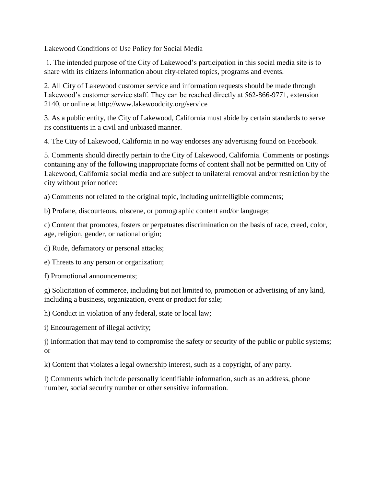Lakewood Conditions of Use Policy for Social Media

1. The intended purpose of the City of Lakewood's participation in this social media site is to share with its citizens information about city-related topics, programs and events.

2. All City of Lakewood customer service and information requests should be made through Lakewood's customer service staff. They can be reached directly at 562-866-9771, extension 2140, or online at http://www.lakewoodcity.org/service

3. As a public entity, the City of Lakewood, California must abide by certain standards to serve its constituents in a civil and unbiased manner.

4. The City of Lakewood, California in no way endorses any advertising found on Facebook.

5. Comments should directly pertain to the City of Lakewood, California. Comments or postings containing any of the following inappropriate forms of content shall not be permitted on City of Lakewood, California social media and are subject to unilateral removal and/or restriction by the city without prior notice:

a) Comments not related to the original topic, including unintelligible comments;

b) Profane, discourteous, obscene, or pornographic content and/or language;

c) Content that promotes, fosters or perpetuates discrimination on the basis of race, creed, color, age, religion, gender, or national origin;

d) Rude, defamatory or personal attacks;

e) Threats to any person or organization;

f) Promotional announcements;

g) Solicitation of commerce, including but not limited to, promotion or advertising of any kind, including a business, organization, event or product for sale;

h) Conduct in violation of any federal, state or local law;

i) Encouragement of illegal activity;

j) Information that may tend to compromise the safety or security of the public or public systems; or

k) Content that violates a legal ownership interest, such as a copyright, of any party.

l) Comments which include personally identifiable information, such as an address, phone number, social security number or other sensitive information.